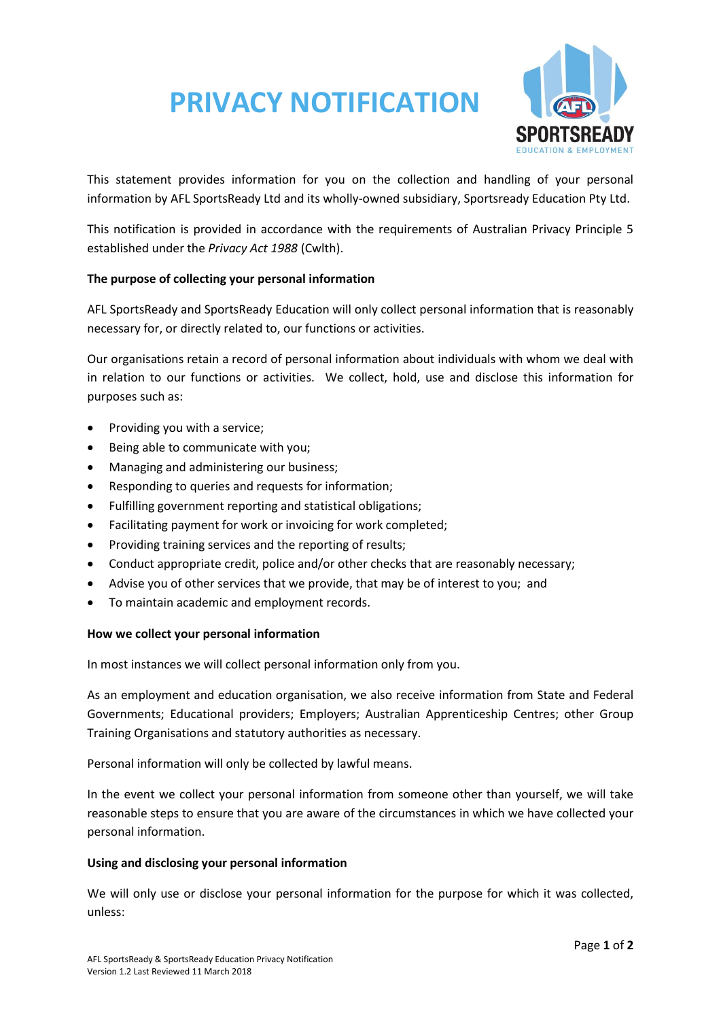# **PRIVACY NOTIFICATION**



This statement provides information for you on the collection and handling of your personal information by AFL SportsReady Ltd and its wholly-owned subsidiary, Sportsready Education Pty Ltd.

This notification is provided in accordance with the requirements of Australian Privacy Principle 5 established under the *Privacy Act 1988* (Cwlth).

## **The purpose of collecting your personal information**

AFL SportsReady and SportsReady Education will only collect personal information that is reasonably necessary for, or directly related to, our functions or activities.

Our organisations retain a record of personal information about individuals with whom we deal with in relation to our functions or activities. We collect, hold, use and disclose this information for purposes such as:

- Providing you with a service;
- Being able to communicate with you;
- Managing and administering our business;
- Responding to queries and requests for information;
- Fulfilling government reporting and statistical obligations;
- Facilitating payment for work or invoicing for work completed;
- Providing training services and the reporting of results;
- Conduct appropriate credit, police and/or other checks that are reasonably necessary;
- Advise you of other services that we provide, that may be of interest to you; and
- To maintain academic and employment records.

#### **How we collect your personal information**

In most instances we will collect personal information only from you.

As an employment and education organisation, we also receive information from State and Federal Governments; Educational providers; Employers; Australian Apprenticeship Centres; other Group Training Organisations and statutory authorities as necessary.

Personal information will only be collected by lawful means.

In the event we collect your personal information from someone other than yourself, we will take reasonable steps to ensure that you are aware of the circumstances in which we have collected your personal information.

#### **Using and disclosing your personal information**

We will only use or disclose your personal information for the purpose for which it was collected, unless: